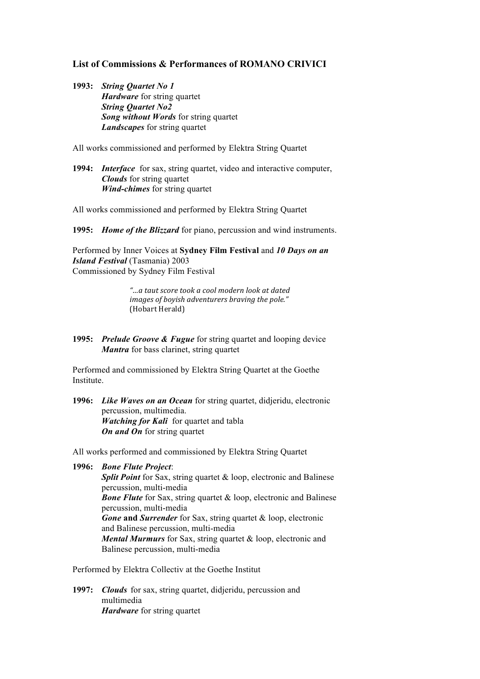## **List of Commissions & Performances of ROMANO CRIVICI**

**1993:** *String Quartet No 1 Hardware* for string quartet *String Quartet No2 Song without Words* for string quartet *Landscapes* for string quartet

All works commissioned and performed by Elektra String Quartet

**1994:** *Interface* for sax, string quartet, video and interactive computer, *Clouds* for string quartet *Wind-chimes* for string quartet

All works commissioned and performed by Elektra String Quartet

**1995:** *Home of the Blizzard* for piano, percussion and wind instruments.

Performed by Inner Voices at **Sydney Film Festival** and *10 Days on an Island Festival* (Tasmania) 2003 Commissioned by Sydney Film Festival

> *"…a taut score took a cool modern look at dated images of boyish adventurers braving the pole."* (Hobart Herald)

**1995:** *Prelude Groove & Fugue* for string quartet and looping device *Mantra* for bass clarinet, string quartet

Performed and commissioned by Elektra String Quartet at the Goethe Institute.

**1996:** *Like Waves on an Ocean* for string quartet, didjeridu, electronic percussion, multimedia. *Watching for Kali* for quartet and tabla *On and On* for string quartet

All works performed and commissioned by Elektra String Quartet

**1996:** *Bone Flute Project*: **Split Point** for Sax, string quartet & loop, electronic and Balinese percussion, multi-media **Bone Flute** for Sax, string quartet & loop, electronic and Balinese percussion, multi-media *Gone* **and** *Surrender* for Sax, string quartet & loop, electronic and Balinese percussion, multi-media *Mental Murmurs* for Sax, string quartet & loop, electronic and Balinese percussion, multi-media

Performed by Elektra Collectiv at the Goethe Institut

**1997:** *Clouds* for sax, string quartet, didjeridu, percussion and multimedia *Hardware* for string quartet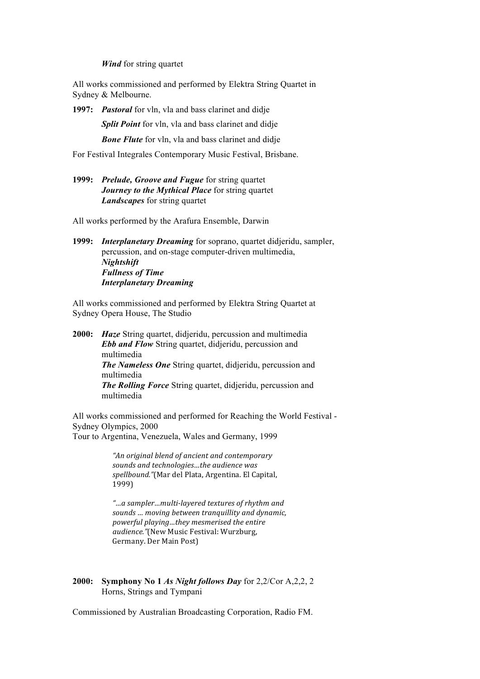*Wind* for string quartet

All works commissioned and performed by Elektra String Quartet in Sydney & Melbourne.

**1997:** *Pastoral* for vln, vla and bass clarinet and didje

*Split Point* for vln, vla and bass clarinet and didie

*Bone Flute* for vln, vla and bass clarinet and didje

For Festival Integrales Contemporary Music Festival, Brisbane.

**1999:** *Prelude, Groove and Fugue* for string quartet *Journey to the Mythical Place* for string quartet *Landscapes* for string quartet

All works performed by the Arafura Ensemble, Darwin

**1999:** *Interplanetary Dreaming* for soprano, quartet didjeridu, sampler, percussion, and on-stage computer-driven multimedia, *Nightshift Fullness of Time Interplanetary Dreaming*

All works commissioned and performed by Elektra String Quartet at Sydney Opera House, The Studio

**2000:** *Haze* String quartet, didjeridu, percussion and multimedia *Ebb and Flow* String quartet, didjeridu, percussion and multimedia *The Nameless One* String quartet, didjeridu, percussion and multimedia *The Rolling Force* String quartet, didjeridu, percussion and multimedia

All works commissioned and performed for Reaching the World Festival - Sydney Olympics, 2000 Tour to Argentina, Venezuela, Wales and Germany, 1999

> *"An original blend of ancient and contemporary*  sounds and *technologies*...the audience was spellbound."(Mar del Plata, Argentina. El Capital, 1999)

*"…a sampler…multi-layered textures of rhythm and*  sounds ... moving between tranquillity and dynamic, *powerful playing…they mesmerised the entire audience."*(New Music Festival: Wurzburg, Germany. Der Main Post)

## **2000: Symphony No 1** *As Night follows Day* for 2,2/Cor A,2,2, 2 Horns, Strings and Tympani

Commissioned by Australian Broadcasting Corporation, Radio FM.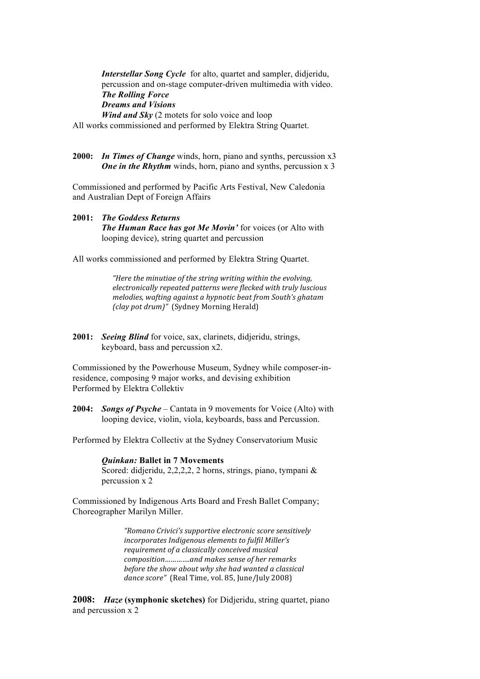*Interstellar Song Cycle* for alto, quartet and sampler, didjeridu, percussion and on-stage computer-driven multimedia with video. *The Rolling Force Dreams and Visions Wind and Sky* (2 motets for solo voice and loop

All works commissioned and performed by Elektra String Quartet.

**2000:** *In Times of Change* winds, horn, piano and synths, percussion x3 *One in the Rhythm* winds, horn, piano and synths, percussion x 3

Commissioned and performed by Pacific Arts Festival, New Caledonia and Australian Dept of Foreign Affairs

**2001:** *The Goddess Returns The Human Race has got Me Movin'* for voices (or Alto with looping device), string quartet and percussion

All works commissioned and performed by Elektra String Quartet.

*"Here the minutiae of the string writing within the evolving, electronically repeated patterns were flecked with truly luscious melodies, wafting against a hypnotic beat from South's ghatam (clay pot drum)*" *(Sydney Morning Herald)* 

**2001:** *Seeing Blind* for voice, sax, clarinets, didjeridu, strings, keyboard, bass and percussion x2.

Commissioned by the Powerhouse Museum, Sydney while composer-inresidence, composing 9 major works, and devising exhibition Performed by Elektra Collektiv

**2004:** *Songs of Psyche* – Cantata in 9 movements for Voice (Alto) with looping device, violin, viola, keyboards, bass and Percussion.

Performed by Elektra Collectiv at the Sydney Conservatorium Music

## *Quinkan:* **Ballet in 7 Movements**

Scored: didjeridu, 2,2,2,2, 2 horns, strings, piano, tympani & percussion x 2

Commissioned by Indigenous Arts Board and Fresh Ballet Company; Choreographer Marilyn Miller.

> *"Romano Crivici's supportive electronic score sensitively*  incorporates Indigenous elements to fulfil Miller's *requirement of a classically conceived musical composition............and makes sense of her remarks before the show about why she had wanted a classical* dance score" (Real Time, vol. 85, June/July 2008)

**2008:** *Haze* **(symphonic sketches)** for Didjeridu, string quartet, piano and percussion x 2